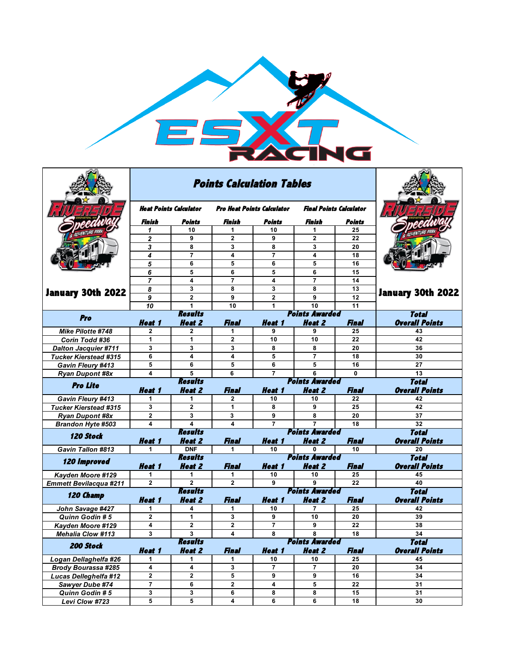

|                               |                                         | <b>Points Calculation Tables</b> |                                   |                                       |                                |                       |                             |
|-------------------------------|-----------------------------------------|----------------------------------|-----------------------------------|---------------------------------------|--------------------------------|-----------------------|-----------------------------|
|                               | Heat Points Calculator                  |                                  | <b>Pro Heat Points Calculator</b> |                                       | <b>Final Points Calculator</b> |                       |                             |
|                               | Finish                                  | Points                           | Finish                            | Points                                | Finish                         | Points                |                             |
|                               | 1                                       | 10                               | 1                                 | 10                                    | 1                              | 25                    |                             |
|                               | $\overline{\mathbf{2}}$                 | 9                                | $\overline{2}$                    | 9                                     | $\overline{2}$                 | 22                    |                             |
|                               | 3                                       | 8                                | 3                                 | 8                                     | 3                              | 20                    |                             |
|                               | 4                                       | $\overline{7}$                   | 4                                 | 7                                     | 4                              | 18                    |                             |
|                               | 5                                       | 6                                | 5                                 | 6                                     | 5                              | 16                    |                             |
| <b>January 30th 2022</b>      | 6                                       | 5                                | 6                                 | 5                                     | 6                              | 15                    |                             |
|                               | $\overline{7}$                          | 4                                | 7                                 | 4                                     | $\overline{7}$                 | 14                    |                             |
|                               | 8                                       | 3                                | 8                                 | 3                                     | 8                              | 13                    | <b>January 30th 2022</b>    |
|                               | 9                                       | $\mathbf{2}$                     | 9                                 | $\mathbf{2}$                          | 9                              | 12                    |                             |
|                               | 10                                      | $\mathbf{1}$                     | 10                                | 1                                     | 10                             | 11                    |                             |
| Pro                           | <b>Results</b><br><b>Points Awarded</b> |                                  |                                   |                                       |                                |                       | <b>Total</b>                |
| Mike Pilotte #748             | Heat 1<br>$\mathbf{2}$                  | <b>Heat 2</b><br>$\mathbf{2}$    | Final<br>1                        | <i><b>Heat 1</b></i><br>9             | <b>Heat 2</b><br>9             | <b>Final</b><br>25    | <b>Overall Points</b><br>43 |
| <b>Corin Todd #36</b>         | 1                                       | 1                                | 2                                 | 10                                    | 10                             | 22                    | 42                          |
| <b>Dalton Jacquier #711</b>   | 3                                       | 3                                | 3                                 | 8                                     | 8                              | 20                    | 36                          |
| <b>Tucker Kierstead #315</b>  | 6                                       | 4                                | 4                                 | 5                                     | $\overline{7}$                 | 18                    | 30                          |
| Gavin Fleury #413             | 5                                       | 6                                | 5                                 | 6                                     | 5                              | 16                    | 27                          |
| <b>Ryan Dupont #8x</b>        | 4                                       | 5                                | 6                                 | $\overline{7}$                        | 6                              | $\bf{0}$              | 13                          |
|                               |                                         | <b>Results</b>                   | <b>Points Awarded</b>             | <b>Total</b>                          |                                |                       |                             |
| <b>Pro Lite</b>               | <b>Heat 1</b>                           | <b>Heat 2</b>                    | Final                             | Heat 1                                | <b>Heat 2</b>                  | Final                 | <b>Overall Points</b>       |
| <b>Gavin Fleury #413</b>      | 1                                       | 1                                | 2                                 | 10                                    | 10                             | 22                    | 42                          |
| <b>Tucker Kierstead #315</b>  | 3                                       | $\overline{2}$                   | 1                                 | 8                                     | 9                              | 25                    | 42                          |
| <b>Ryan Dupont #8x</b>        | $\mathbf{2}$                            | 3                                | 3                                 | 9                                     | 8                              | 20                    | 37                          |
| Brandon Hyte #503             | 4                                       | 4                                | 4                                 | $\overline{7}$                        | $\overline{7}$                 | 18                    | 32                          |
| <b>120 Stock</b>              |                                         | <b>Results</b>                   |                                   |                                       | <b>Points Awarded</b>          |                       | <b>Total</b>                |
|                               | <b>Heat 1</b>                           | <b>Heat 2</b>                    | <b>Final</b>                      | <b>Heat 1</b>                         | <b>Heat 2</b>                  | <b>Final</b>          | <b>Overall Points</b>       |
| <b>Gavin Tallon #813</b>      | 1                                       | <b>DNF</b>                       | 1                                 | 10                                    | 0                              | 10                    | 20                          |
| <b>120 Improved</b>           |                                         | <b>Results</b>                   |                                   |                                       | <b>Points Awarded</b>          |                       | <b>Total</b>                |
|                               | <b>Heat 1</b>                           | <b>Heat 2</b>                    | Final                             | <b>Heat 1</b>                         | <b>Heat 2</b>                  | Final                 | <b>Overall Points</b>       |
| Kayden Moore #129             | 1                                       | 1                                | 1                                 | 10                                    | 10                             | 25                    | 45                          |
| <b>Emmett Bevilacqua #211</b> | $\mathbf{2}$                            | 2<br><b>Results</b>              | $\mathbf{2}$                      | 9                                     | 9<br><b>Points Awarded</b>     | 22                    | 40                          |
| 120 Champ                     | <b>Heat 1</b>                           | <b>Heat 2</b>                    | Final                             | <b>Total</b><br><b>Overall Points</b> |                                |                       |                             |
| John Savage #427              | 1                                       |                                  | Final<br>1                        | <b>Heat 1</b><br>10                   | <b>Heat 2</b><br>7             | 25                    | 42                          |
| Quinn Godin # 5               | $\mathbf{2}$                            | 1                                | 3                                 | 9                                     | 10                             | 20                    | 39                          |
| Kayden Moore #129             | 4                                       | $\mathbf{2}$                     | $\overline{2}$                    | $\overline{7}$                        | 9                              | 22                    | 38                          |
| <b>Mehalia Clow #113</b>      | 3                                       | 3                                | 4                                 | 8                                     | 8                              | 18                    | 34                          |
|                               |                                         | <b>Results</b>                   |                                   |                                       | <b>Points Awarded</b>          |                       | <b>Total</b>                |
| 200 Stock                     | Heat 1                                  | <b>Heat 2</b>                    | <b>Final</b>                      | <b>Heat 1</b>                         | <b>Heat 2</b><br>Final         | <b>Overall Points</b> |                             |
| Logan Dellaghelfa #26         | 1.                                      | 1                                | 1                                 | 10                                    | 10                             | 25                    | 45                          |
| <b>Brody Bourassa #285</b>    | 4                                       | 4                                | 3                                 | $\overline{7}$                        | 7                              | 20                    | 34                          |
| Lucas Delleghelfa #12         | $\mathbf 2$                             | $\overline{\mathbf{2}}$          | 5                                 | 9                                     | 9                              | ${\bf 16}$            | 34                          |
| Sawyer Dube #74               | $\overline{7}$                          | 6                                | $\overline{\mathbf{2}}$           | 4                                     | 5                              | 22                    | 31                          |
| Quinn Godin # 5               | 3<br>5                                  | 3<br>5                           | 6<br>$\boldsymbol{4}$             | 8<br>6                                | 8<br>6                         | 15<br>18              | 31<br>30                    |
| Levi Clow #723                |                                         |                                  |                                   |                                       |                                |                       |                             |